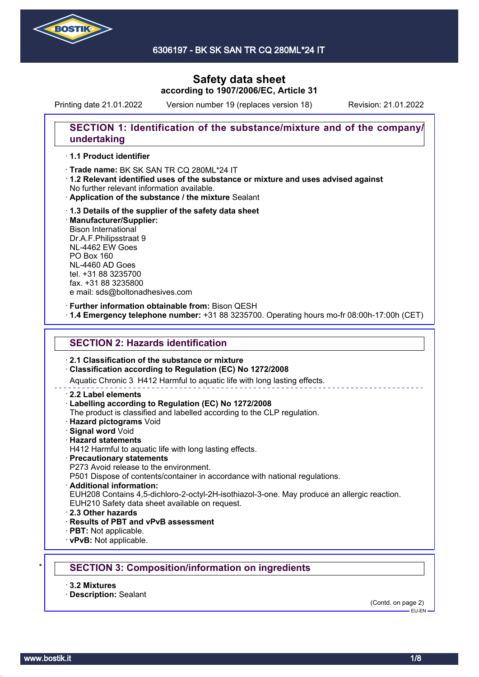

6306197 - BK SK SAN TR CQ 280ML\*24 IT

# **Safety data sheet according to 1907/2006/EC, Article 31**

Printing date 21.01.2022 Version number 19 (replaces version 18) Revision: 21.01.2022

## **SECTION 1: Identification of the substance/mixture and of the company/ undertaking**

### · **1.1 Product identifier**

· Trade name: BK SK SAN TR CQ 280ML\*24 IT

- · **1.2 Relevant identified uses of the substance or mixture and uses advised against** No further relevant information available.
- · **Application of the substance / the mixture** Sealant
- · **1.3 Details of the supplier of the safety data sheet** · **Manufacturer/Supplier:** Bison International Dr.A.F.Philipsstraat 9 NL-4462 EW Goes PO Box 160 NL-4460 AD Goes tel. +31 88 3235700 fax. +31 88 3235800 e mail: sds@boltonadhesives.com

#### · **Further information obtainable from:** Bison QESH

· **1.4 Emergency telephone number:** +31 88 3235700. Operating hours mo-fr 08:00h-17:00h (CET)

### **SECTION 2: Hazards identification**

### · **2.1 Classification of the substance or mixture**

### · **Classification according to Regulation (EC) No 1272/2008**

Aquatic Chronic 3 H412 Harmful to aquatic life with long lasting effects.

#### · **2.2 Label elements**

#### · **Labelling according to Regulation (EC) No 1272/2008**

The product is classified and labelled according to the CLP regulation.

- · **Hazard pictograms** Void
- · **Signal word** Void
- · **Hazard statements**
- H412 Harmful to aquatic life with long lasting effects.

### · **Precautionary statements**

P273 Avoid release to the environment.

P501 Dispose of contents/container in accordance with national regulations.

· **Additional information:**

EUH208 Contains 4,5-dichloro-2-octyl-2H-isothiazol-3-one. May produce an allergic reaction.

- EUH210 Safety data sheet available on request.
- · **2.3 Other hazards**
- · **Results of PBT and vPvB assessment**
- · **PBT:** Not applicable.
- · **vPvB:** Not applicable.

## \* **SECTION 3: Composition/information on ingredients**

- · **3.2 Mixtures**
- · **Description:** Sealant

(Contd. on page 2)  $-$ EH-EN-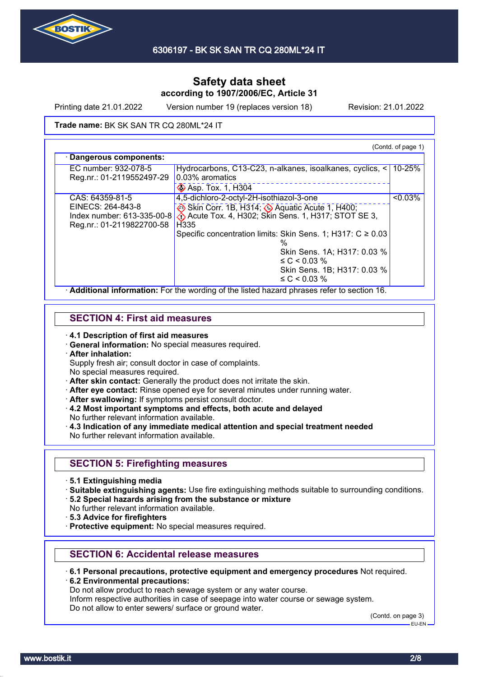

Printing date 21.01.2022 Version number 19 (replaces version 18) Revision: 21.01.2022

Skin Sens. 1B; H317: 0.03 %

≤ C < 0.03 %

#### **Trade name: BK SK SAN TR CQ 280ML\*24 IT**

(Contd. of page 1) · **Dangerous components:** EC number: 932-078-5 Reg.nr.: 01-2119552497-29 Hydrocarbons, C13-C23, n-alkanes, isoalkanes, cyclics, < 0.03% aromatics Asp. Tox. 1, H304 10-25% CAS: 64359-81-5 EINECS: 264-843-8 Index number: 613-335-00-8 Reg.nr.: 01-2119822700-58 4,5-dichloro-2-octyl-2H-isothiazol-3-one Skin Corr. 1B, H314; ♦ Aquatic Acute 1, H400; Acute Tox. 4, H302; Skin Sens. 1, H317; STOT SE 3, H335 Specific concentration limits: Skin Sens. 1; H317: C ≥ 0.03 % Skin Sens. 1A; H317: 0.03 % ≤ C < 0.03 %  $50.03%$ 

· **Additional information:** For the wording of the listed hazard phrases refer to section 16.

### **SECTION 4: First aid measures**

- · **4.1 Description of first aid measures**
- · **General information:** No special measures required.
- · **After inhalation:**
- Supply fresh air; consult doctor in case of complaints.
- No special measures required.
- · **After skin contact:** Generally the product does not irritate the skin.
- · **After eye contact:** Rinse opened eye for several minutes under running water.
- · **After swallowing:** If symptoms persist consult doctor.
- · **4.2 Most important symptoms and effects, both acute and delayed** No further relevant information available.
- · **4.3 Indication of any immediate medical attention and special treatment needed** No further relevant information available.

## **SECTION 5: Firefighting measures**

- · **5.1 Extinguishing media**
- · **Suitable extinguishing agents:** Use fire extinguishing methods suitable to surrounding conditions.
- · **5.2 Special hazards arising from the substance or mixture**
- No further relevant information available.
- · **5.3 Advice for firefighters**
- · **Protective equipment:** No special measures required.

### **SECTION 6: Accidental release measures**

- · **6.1 Personal precautions, protective equipment and emergency procedures** Not required. · **6.2 Environmental precautions:**
- Do not allow product to reach sewage system or any water course.

Inform respective authorities in case of seepage into water course or sewage system. Do not allow to enter sewers/ surface or ground water.

(Contd. on page 3)

EU-EN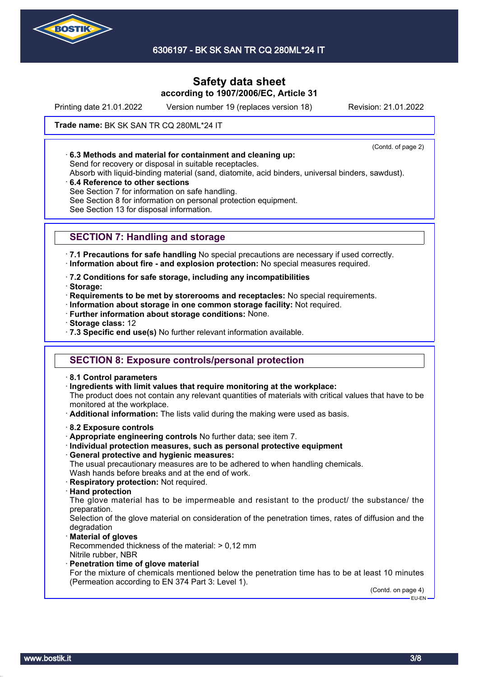

6306197 - BK SK SAN TR CQ 280ML\*24 IT

# **Safety data sheet according to 1907/2006/EC, Article 31**

Printing date 21.01.2022 Version number 19 (replaces version 18) Revision: 21.01.2022

(Contd. of page 2)

### **Trade name: BK SK SAN TR CQ 280ML\*24 IT**

· **6.3 Methods and material for containment and cleaning up:**

Send for recovery or disposal in suitable receptacles.

Absorb with liquid-binding material (sand, diatomite, acid binders, universal binders, sawdust).

· **6.4 Reference to other sections**

See Section 7 for information on safe handling.

See Section 8 for information on personal protection equipment.

See Section 13 for disposal information.

# **SECTION 7: Handling and storage**

· **7.1 Precautions for safe handling** No special precautions are necessary if used correctly. · **Information about fire - and explosion protection:** No special measures required.

· **7.2 Conditions for safe storage, including any incompatibilities**

· **Storage:**

· **Requirements to be met by storerooms and receptacles:** No special requirements.

- · **Information about storage in one common storage facility:** Not required.
- · **Further information about storage conditions:** None.
- · **Storage class:** 12
- · **7.3 Specific end use(s)** No further relevant information available.

## **SECTION 8: Exposure controls/personal protection**

- · **8.1 Control parameters**
- · **Ingredients with limit values that require monitoring at the workplace:**

The product does not contain any relevant quantities of materials with critical values that have to be monitored at the workplace.

- · **Additional information:** The lists valid during the making were used as basis.
- · **8.2 Exposure controls**
- · **Appropriate engineering controls** No further data; see item 7.
- · **Individual protection measures, such as personal protective equipment**
- · **General protective and hygienic measures:**

The usual precautionary measures are to be adhered to when handling chemicals. Wash hands before breaks and at the end of work.

- · **Respiratory protection:** Not required.
- · **Hand protection**

The glove material has to be impermeable and resistant to the product/ the substance/ the preparation.

Selection of the glove material on consideration of the penetration times, rates of diffusion and the degradation

· **Material of gloves**

Recommended thickness of the material: > 0,12 mm Nitrile rubber, NBR

· **Penetration time of glove material**

For the mixture of chemicals mentioned below the penetration time has to be at least 10 minutes (Permeation according to EN 374 Part 3: Level 1).

(Contd. on page 4) EU-EN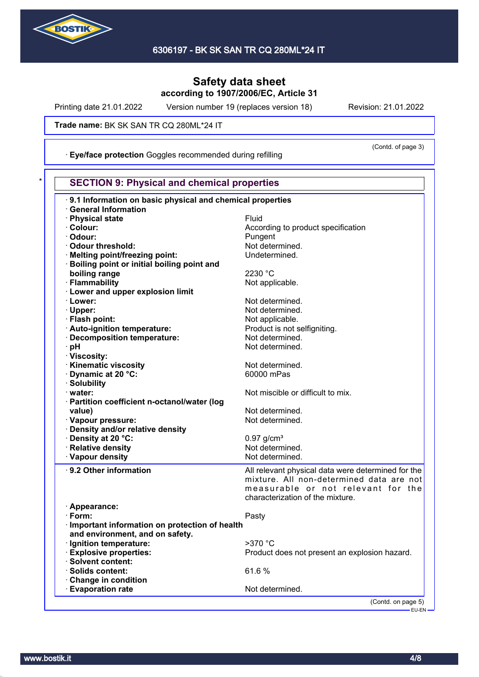

Printing date 21.01.2022 Version number 19 (replaces version 18) Revision: 21.01.2022

(Contd. of page 3)

**Trade name: BK SK SAN TR CQ 280ML\*24 IT** 

· **Eye/face protection** Goggles recommended during refilling

| 9.1 Information on basic physical and chemical properties |                                                    |
|-----------------------------------------------------------|----------------------------------------------------|
| <b>General Information</b>                                |                                                    |
| · Physical state                                          | Fluid                                              |
| · Colour:                                                 | According to product specification                 |
| · Odour:                                                  | Pungent                                            |
| Odour threshold:                                          | Not determined.                                    |
| · Melting point/freezing point:                           | Undetermined.                                      |
| Boiling point or initial boiling point and                |                                                    |
| boiling range                                             | 2230 °C                                            |
| · Flammability                                            | Not applicable.                                    |
| <b>Lower and upper explosion limit</b>                    |                                                    |
| · Lower:                                                  | Not determined.                                    |
| · Upper:                                                  | Not determined.                                    |
| · Flash point:                                            | Not applicable.                                    |
| · Auto-ignition temperature:                              | Product is not selfigniting.                       |
| Decomposition temperature:                                | Not determined.                                    |
| · pH                                                      | Not determined.                                    |
| · Viscosity:                                              |                                                    |
| Kinematic viscosity                                       | Not determined.                                    |
| Dynamic at 20 °C:                                         | 60000 mPas                                         |
| · Solubility                                              |                                                    |
| · water:                                                  | Not miscible or difficult to mix.                  |
| · Partition coefficient n-octanol/water (log              |                                                    |
| value)                                                    | Not determined.                                    |
| · Vapour pressure:                                        | Not determined.                                    |
| · Density and/or relative density                         |                                                    |
| · Density at 20 °C:                                       | $0.97$ g/cm <sup>3</sup>                           |
|                                                           | Not determined.                                    |
| <b>Relative density</b>                                   |                                                    |
| · Vapour density                                          | Not determined.                                    |
| · 9.2 Other information                                   | All relevant physical data were determined for the |
|                                                           | mixture. All non-determined data are not           |
|                                                           | measurable or not relevant for the                 |
|                                                           | characterization of the mixture.                   |
| · Appearance:                                             |                                                    |
| · Form:                                                   | Pasty                                              |
| · Important information on protection of health           |                                                    |
| and environment, and on safety.                           |                                                    |
| Ignition temperature:                                     | >370 °C                                            |
| <b>Explosive properties:</b>                              | Product does not present an explosion hazard.      |
| <b>Solvent content:</b>                                   |                                                    |
| · Solids content:                                         | 61.6%                                              |
| <b>Change in condition</b>                                |                                                    |
|                                                           | Not determined.                                    |
| <b>Evaporation rate</b>                                   |                                                    |

-<br>EU-EN-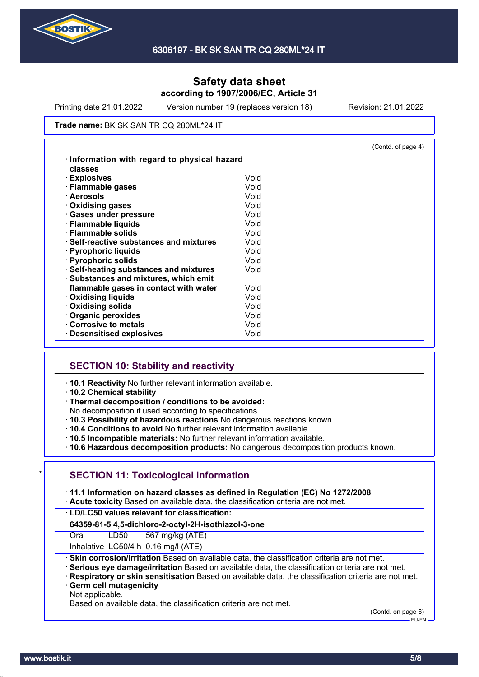

Printing date 21.01.2022 Version number 19 (replaces version 18) Revision: 21.01.2022

**Trade name: BK SK SAN TR CQ 280ML\*24 IT** 

|                                               |      | (Contd. of page 4) |
|-----------------------------------------------|------|--------------------|
| Information with regard to physical hazard    |      |                    |
| classes                                       |      |                    |
| · Explosives                                  | Void |                    |
| · Flammable gases                             | Void |                    |
| · Aerosols                                    | Void |                    |
| <b>Oxidising gases</b>                        | Void |                    |
| · Gases under pressure                        | Void |                    |
| · Flammable liquids                           | Void |                    |
| $\cdot$ Flammable solids                      | Void |                    |
| $\cdot$ Self-reactive substances and mixtures | Void |                    |
| · Pyrophoric liquids                          | Void |                    |
| · Pyrophoric solids                           | Void |                    |
| · Self-heating substances and mixtures        | Void |                    |
| · Substances and mixtures, which emit         |      |                    |
| flammable gases in contact with water         | Void |                    |
| $\cdot$ Oxidising liquids                     | Void |                    |
| · Oxidising solids                            | Void |                    |
| Organic peroxides                             | Void |                    |
| Corrosive to metals                           | Void |                    |
| <b>Desensitised explosives</b>                | Void |                    |

## **SECTION 10: Stability and reactivity**

· **10.1 Reactivity** No further relevant information available.

· **10.2 Chemical stability**

· **Thermal decomposition / conditions to be avoided:**

No decomposition if used according to specifications.

- · **10.3 Possibility of hazardous reactions** No dangerous reactions known.
- · **10.4 Conditions to avoid** No further relevant information available.

· **10.5 Incompatible materials:** No further relevant information available.

· **10.6 Hazardous decomposition products:** No dangerous decomposition products known.

## **SECTION 11: Toxicological information**

· **11.1 Information on hazard classes as defined in Regulation (EC) No 1272/2008**

· **Acute toxicity** Based on available data, the classification criteria are not met.

### · **LD/LC50 values relevant for classification:**

**64359-81-5 4,5-dichloro-2-octyl-2H-isothiazol-3-one**

Oral LD50 567 mg/kg (ATE)

Inhalative LC50/4 h  $0.16$  mg/l (ATE)

· **Skin corrosion/irritation** Based on available data, the classification criteria are not met.

- · **Serious eye damage/irritation** Based on available data, the classification criteria are not met.
- · **Respiratory or skin sensitisation** Based on available data, the classification criteria are not met. · **Germ cell mutagenicity**
- Not applicable.

Based on available data, the classification criteria are not met.

(Contd. on page 6)

EU-EN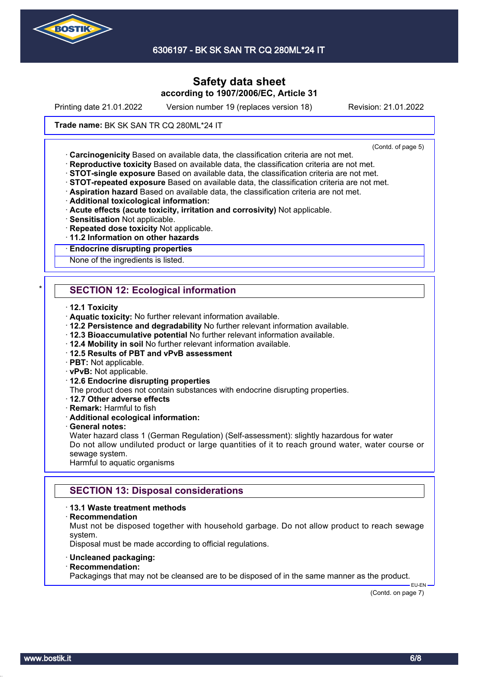

6306197 - BK SK SAN TR CQ 280ML\*24 IT

# **Safety data sheet according to 1907/2006/EC, Article 31**

Printing date 21.01.2022 Version number 19 (replaces version 18) Revision: 21.01.2022

### **Trade name: BK SK SAN TR CQ 280ML\*24 IT**

(Contd. of page 5)

· **Carcinogenicity** Based on available data, the classification criteria are not met.

- · **Reproductive toxicity** Based on available data, the classification criteria are not met.
- · **STOT-single exposure** Based on available data, the classification criteria are not met.
- · **STOT-repeated exposure** Based on available data, the classification criteria are not met.
- · **Aspiration hazard** Based on available data, the classification criteria are not met.
- · **Additional toxicological information:**
- · **Acute effects (acute toxicity, irritation and corrosivity)** Not applicable.
- · **Sensitisation** Not applicable.
- · **Repeated dose toxicity** Not applicable.
- · **11.2 Information on other hazards**

#### · **Endocrine disrupting properties**

None of the ingredients is listed.

# **SECTION 12: Ecological information**

- · **12.1 Toxicity**
- · **Aquatic toxicity:** No further relevant information available.
- · **12.2 Persistence and degradability** No further relevant information available.
- · **12.3 Bioaccumulative potential** No further relevant information available.
- · **12.4 Mobility in soil** No further relevant information available.
- · **12.5 Results of PBT and vPvB assessment**
- · **PBT:** Not applicable.
- · **vPvB:** Not applicable.
- · **12.6 Endocrine disrupting properties**
- The product does not contain substances with endocrine disrupting properties.
- · **12.7 Other adverse effects**
- · **Remark:** Harmful to fish

#### · **Additional ecological information:**

#### · **General notes:**

Water hazard class 1 (German Regulation) (Self-assessment): slightly hazardous for water Do not allow undiluted product or large quantities of it to reach ground water, water course or sewage system.

Harmful to aquatic organisms

## **SECTION 13: Disposal considerations**

### · **13.1 Waste treatment methods**

· **Recommendation**

Must not be disposed together with household garbage. Do not allow product to reach sewage system.

Disposal must be made according to official regulations.

- · **Uncleaned packaging:**
- · **Recommendation:**

Packagings that may not be cleansed are to be disposed of in the same manner as the product.

(Contd. on page 7)

EU-EN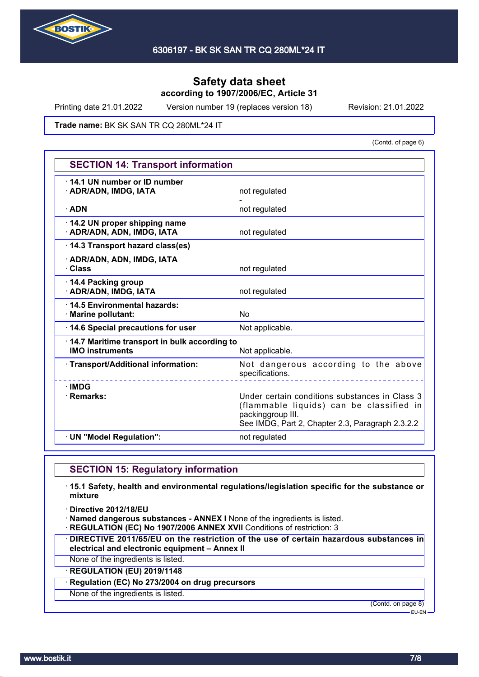

Printing date 21.01.2022 Version number 19 (replaces version 18) Revision: 21.01.2022

**Trade name: BK SK SAN TR CQ 280ML\*24 IT** 

(Contd. of page 6)

| <b>SECTION 14: Transport information</b>                               |                                                                                                                                                                     |  |
|------------------------------------------------------------------------|---------------------------------------------------------------------------------------------------------------------------------------------------------------------|--|
| 14.1 UN number or ID number<br>· ADR/ADN, IMDG, IATA                   | not regulated                                                                                                                                                       |  |
| $\cdot$ ADN                                                            | not regulated                                                                                                                                                       |  |
| 14.2 UN proper shipping name<br>· ADR/ADN, ADN, IMDG, IATA             | not regulated                                                                                                                                                       |  |
| 14.3 Transport hazard class(es)                                        |                                                                                                                                                                     |  |
| · ADR/ADN, ADN, IMDG, IATA<br>· Class                                  | not regulated                                                                                                                                                       |  |
| 14.4 Packing group<br>· ADR/ADN, IMDG, IATA                            | not regulated                                                                                                                                                       |  |
| 14.5 Environmental hazards:<br>· Marine pollutant:                     | <b>No</b>                                                                                                                                                           |  |
| 14.6 Special precautions for user                                      | Not applicable.                                                                                                                                                     |  |
| 14.7 Maritime transport in bulk according to<br><b>IMO instruments</b> | Not applicable.                                                                                                                                                     |  |
| · Transport/Additional information:                                    | Not dangerous according to the above<br>specifications.                                                                                                             |  |
| $\cdot$ IMDG<br>· Remarks:                                             | Under certain conditions substances in Class 3<br>(flammable liquids) can be classified in<br>packinggroup III.<br>See IMDG, Part 2, Chapter 2.3, Paragraph 2.3.2.2 |  |
| · UN "Model Regulation":                                               | not regulated                                                                                                                                                       |  |

## **SECTION 15: Regulatory information**

· **15.1 Safety, health and environmental regulations/legislation specific for the substance or mixture**

· **Directive 2012/18/EU**

· **Named dangerous substances - ANNEX I** None of the ingredients is listed.

- · **REGULATION (EC) No 1907/2006 ANNEX XVII** Conditions of restriction: 3
- · **DIRECTIVE 2011/65/EU on the restriction of the use of certain hazardous substances in electrical and electronic equipment – Annex II**
- None of the ingredients is listed.

· **REGULATION (EU) 2019/1148**

· **Regulation (EC) No 273/2004 on drug precursors**

None of the ingredients is listed.

(Contd. on page 8)

EU-EN